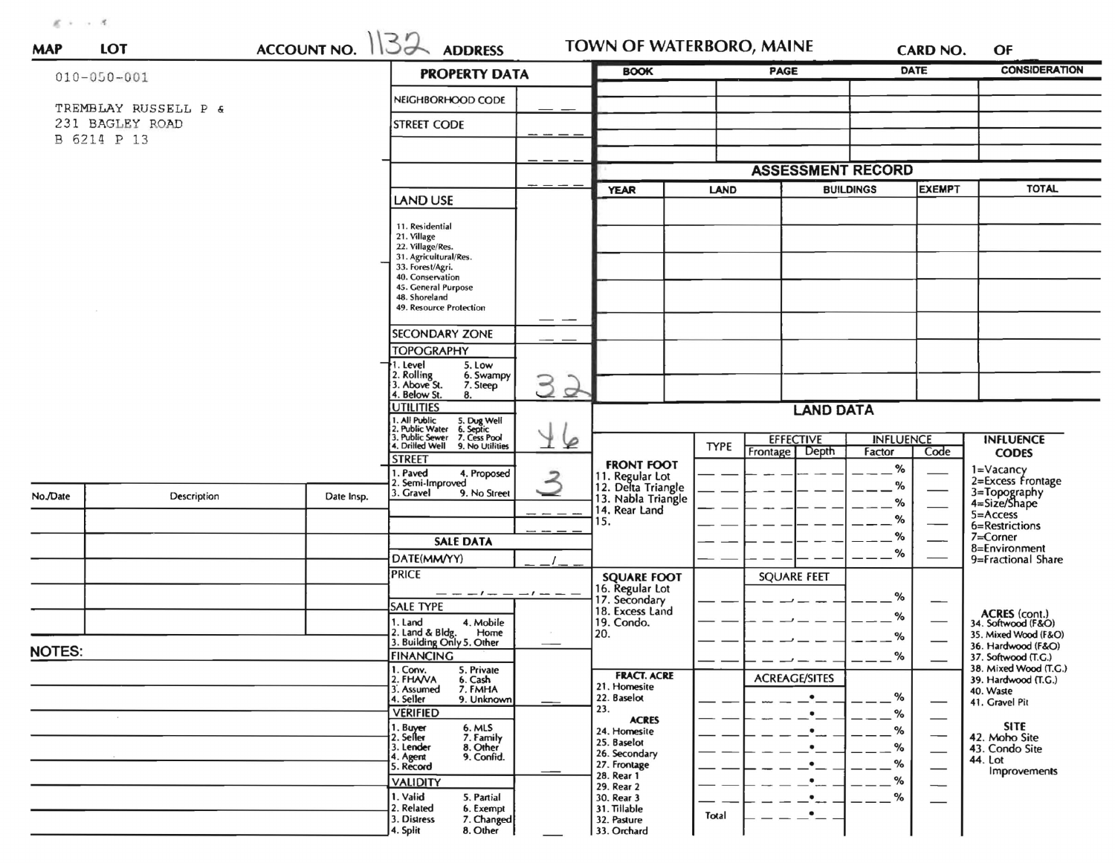$R \rightarrow -0.8$ 

| <b>MAP</b>                                             | <b>LOT</b>  | $ACCUNIT NO.$ $132$ | <b>ADDRESS</b>                                                                                                                             | <b>TOWN OF WATERBORO, MAINE</b> |                                                            |                                 |                                       | <b>CARD NO.</b>            | OF                            |                                                             |
|--------------------------------------------------------|-------------|---------------------|--------------------------------------------------------------------------------------------------------------------------------------------|---------------------------------|------------------------------------------------------------|---------------------------------|---------------------------------------|----------------------------|-------------------------------|-------------------------------------------------------------|
| $010 - 050 - 001$                                      |             |                     | <b>PROPERTY DATA</b>                                                                                                                       |                                 | <b>BOOK</b>                                                | PAGE                            |                                       | <b>DATE</b>                |                               | <b>CONSIDERATION</b>                                        |
| TREMBLAY RUSSELL P &<br>231 BAGLEY ROAD<br>B 6214 P 13 |             |                     | NEIGHBORHOOD CODE                                                                                                                          |                                 |                                                            |                                 |                                       |                            |                               |                                                             |
|                                                        |             |                     | <b>STREET CODE</b>                                                                                                                         |                                 |                                                            |                                 |                                       |                            |                               |                                                             |
|                                                        |             |                     |                                                                                                                                            |                                 |                                                            |                                 |                                       |                            |                               |                                                             |
|                                                        |             |                     |                                                                                                                                            |                                 |                                                            | <b>ASSESSMENT RECORD</b>        |                                       |                            |                               |                                                             |
|                                                        |             |                     |                                                                                                                                            |                                 | <b>YEAR</b>                                                | <b>BUILDINGS</b><br><b>LAND</b> |                                       |                            | <b>EXEMPT</b>                 | <b>TOTAL</b>                                                |
|                                                        |             | LAND USE            |                                                                                                                                            |                                 |                                                            |                                 |                                       |                            |                               |                                                             |
|                                                        |             |                     | 11. Residential<br>21. Village<br>22. Village/Res.<br>31. Agricultural/Res.<br>33. Forest/Agri.<br>40. Conservation<br>45. General Purpose |                                 |                                                            |                                 |                                       |                            |                               |                                                             |
|                                                        |             |                     | 48. Shoreland<br>49. Resource Protection                                                                                                   |                                 |                                                            |                                 |                                       |                            |                               |                                                             |
|                                                        |             |                     | <b>SECONDARY ZONE</b>                                                                                                                      |                                 |                                                            |                                 |                                       |                            |                               |                                                             |
|                                                        |             |                     | <b>TOPOGRAPHY</b>                                                                                                                          |                                 |                                                            |                                 |                                       |                            |                               |                                                             |
|                                                        |             |                     | 1. Level<br>5. Low<br>2. Rolling<br>3. Above St.<br>6. Swampy<br>7. Steep<br>4. Below St.<br>8.                                            | З<br>母                          |                                                            |                                 |                                       |                            |                               |                                                             |
|                                                        |             |                     | <b>UTILITIES</b><br>. All Public                                                                                                           |                                 | <b>LAND DATA</b>                                           |                                 |                                       |                            |                               |                                                             |
|                                                        |             |                     | 5. Dug Well<br>6. Septic<br>7. Cess Pool<br>9. No Utilities<br>2. Public Water<br>3. Public Sewer<br>4. Drilled Well                       | ⊵                               |                                                            | <b>TYPE</b>                     | <b>EFFECTIVE</b><br>Depth<br>Frontage | <b>INFLUENCE</b><br>Factor | Code                          | <b>INFLUENCE</b><br><b>CODES</b>                            |
|                                                        |             |                     | <b>STREET</b><br>. Paved<br>4. Proposed<br>2. Semi-Improved                                                                                | $\overline{2}$                  | <b>FRONT FOOT</b><br>11. Regular Lot<br>12. Delta Triangle |                                 |                                       | $\frac{9}{6}$<br>%         |                               | 1=Vacancy<br>2=Excess Frontage                              |
| No./Date                                               | Description | Date Insp.          | 3. Gravel<br>9. No Street                                                                                                                  |                                 | 13. Nabla Triangle<br>14. Rear Land                        |                                 |                                       | $\frac{9}{6}$              |                               | 3=Topography<br>4=Size/Shape                                |
|                                                        |             |                     |                                                                                                                                            |                                 | 15.                                                        |                                 |                                       | %                          |                               | 5=Access<br>6=Restrictions                                  |
|                                                        |             |                     | <b>SALE DATA</b>                                                                                                                           |                                 | <b>SQUARE FOOT</b><br>16. Regular Lot                      |                                 |                                       | %                          |                               | 7=Corner<br>8=Environment                                   |
|                                                        |             |                     | DATE(MM/YY)                                                                                                                                |                                 |                                                            |                                 |                                       | %                          |                               | 9=Fractional Share                                          |
|                                                        |             |                     | <b>PRICE</b>                                                                                                                               |                                 |                                                            |                                 | <b>SQUARE FEET</b>                    |                            |                               |                                                             |
|                                                        |             |                     | <b>SALE TYPE</b>                                                                                                                           | $-1$ $ -$                       | 17. Secondary<br>18. Excess Land                           |                                 |                                       | %                          |                               |                                                             |
|                                                        |             |                     | 1. Land<br>4. Mobile<br>2. Land & Bldg.<br>Home                                                                                            |                                 | 19. Condo.<br>20.                                          |                                 |                                       | $\%$                       |                               | ACRES (cont.)<br>34. Softwood (F&O)<br>35. Mixed Wood (F&O) |
| <b>NOTES:</b>                                          |             |                     | 3. Building Only 5. Other                                                                                                                  |                                 |                                                            |                                 |                                       | %                          |                               | 36. Hardwood (F&O)                                          |
|                                                        |             |                     | <b>FINANCING</b><br>1. Conv.<br>5. Private                                                                                                 |                                 |                                                            |                                 |                                       | $\%$                       |                               | 37. Softwood (T.G.)<br>38. Mixed Wood (T.G.)                |
|                                                        |             |                     | 2. FHAVA<br>6. Cash<br>7. FMHA<br>3. Assumed                                                                                               |                                 | <b>FRACT. ACRE</b><br>21. Homesite                         |                                 | <b>ACREAGE/SITES</b>                  |                            |                               | 39. Hardwood (T.G.)<br>40. Waste                            |
|                                                        |             |                     | 9. Unknown<br>4. Seller<br><b>VERIFIED</b>                                                                                                 |                                 | 22. Baselot<br>23.                                         |                                 | $\bullet$                             | %                          |                               | 41. Gravel Pit                                              |
|                                                        |             |                     | 6. MLS                                                                                                                                     |                                 | <b>ACRES</b><br>24. Homesite                               |                                 | $\bullet_-$<br>$\bullet$              | %<br>%                     |                               | <b>SITE</b>                                                 |
|                                                        |             |                     | 1. Buy <del>er</del><br>2. Seller<br>7. Family<br>3. Lender<br>8. Other                                                                    |                                 | 25. Baselot                                                |                                 | $\bullet$                             | %                          |                               | 42. Moho Site<br>43. Condo Site                             |
|                                                        |             |                     | 4. Agent<br>9. Confid.<br>5. Record                                                                                                        |                                 | 26. Secondary<br>27. Frontage                              |                                 | $\bullet$                             | %                          | $\overbrace{\phantom{aaaaa}}$ | 44. Lot                                                     |
|                                                        |             |                     | <b>VALIDITY</b>                                                                                                                            |                                 | 28. Rear 1<br>29. Rear 2                                   |                                 |                                       | %                          |                               | Improvements                                                |
|                                                        |             |                     | 1. Valid<br>5. Partial                                                                                                                     |                                 | 30. Rear 3                                                 |                                 | ٠                                     | %                          |                               |                                                             |
|                                                        |             |                     | 2. Related<br>6. Exempt<br>7. Changed<br>3. Distress                                                                                       |                                 | 31. Tillable<br>32. Pasture                                | Total                           | $\bullet$                             |                            |                               |                                                             |